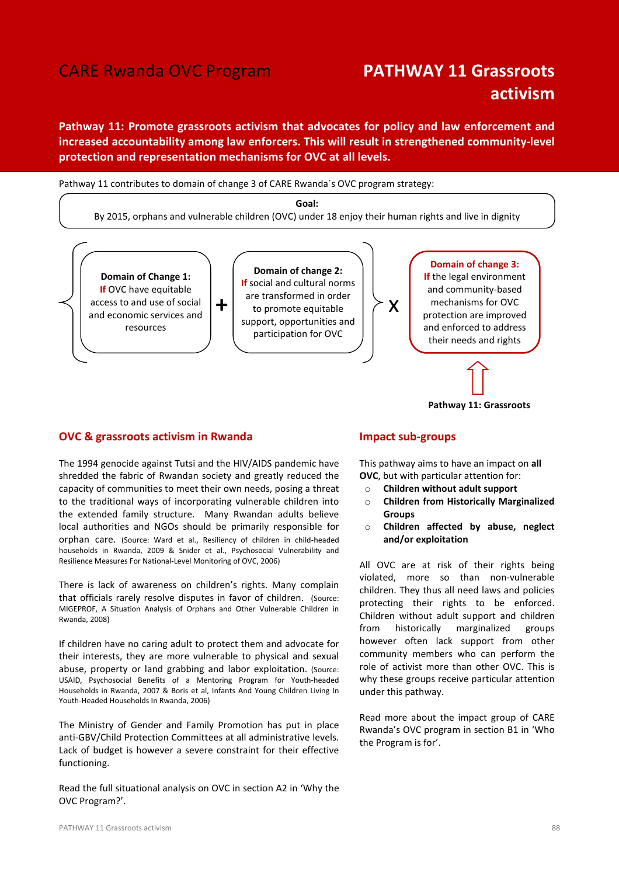# CARE Rwanda OVC Program PATHWAY 11 Grassroots

# activism

Pathway 11: Promote grassroots activism that advocates for policy and law enforcement and increased accountability among law enforcers. This will result in strengthened community-level protection and representation mechanisms for OVC at all levels.

Pathway 11 contributes to domain of change 3 of CARE Rwanda´s OVC program strategy:

Goal:

By 2015, orphans and vulnerable children (OVC) under 18 enjoy their human rights and live in dignity



#### OVC & grassroots activism in Rwanda

The 1994 genocide against Tutsi and the HIV/AIDS pandemic have shredded the fabric of Rwandan society and greatly reduced the capacity of communities to meet their own needs, posing a threat to the traditional ways of incorporating vulnerable children into the extended family structure. Many Rwandan adults believe local authorities and NGOs should be primarily responsible for orphan care. (Source: Ward et al., Resiliency of children in child-headed households in Rwanda, 2009 & Snider et al., Psychosocial Vulnerability and Resilience Measures For National-Level Monitoring of OVC, 2006)

There is lack of awareness on children's rights. Many complain that officials rarely resolve disputes in favor of children. (Source: MIGEPROF, A Situation Analysis of Orphans and Other Vulnerable Children in Rwanda, 2008)

If children have no caring adult to protect them and advocate for their interests, they are more vulnerable to physical and sexual abuse, property or land grabbing and labor exploitation. (Source: USAID, Psychosocial Benefits of a Mentoring Program for Youth-headed Households in Rwanda, 2007 & Boris et al, Infants And Young Children Living In Youth-Headed Households In Rwanda, 2006)

The Ministry of Gender and Family Promotion has put in place anti-GBV/Child Protection Committees at all administrative levels. Lack of budget is however a severe constraint for their effective functioning.

Read the full situational analysis on OVC in section A2 in 'Why the OVC Program?'.

# Impact sub-groups

This pathway aims to have an impact on all OVC, but with particular attention for:

- o Children without adult support
- o Children from Historically Marginalized **Groups**

Pathway 11: Grassroots

o Children affected by abuse, neglect and/or exploitation

All OVC are at risk of their rights being violated, more so than non-vulnerable children. They thus all need laws and policies protecting their rights to be enforced. Children without adult support and children from historically marginalized groups however often lack support from other community members who can perform the role of activist more than other OVC. This is why these groups receive particular attention under this pathway.

Read more about the impact group of CARE Rwanda's OVC program in section B1 in 'Who the Program is for'.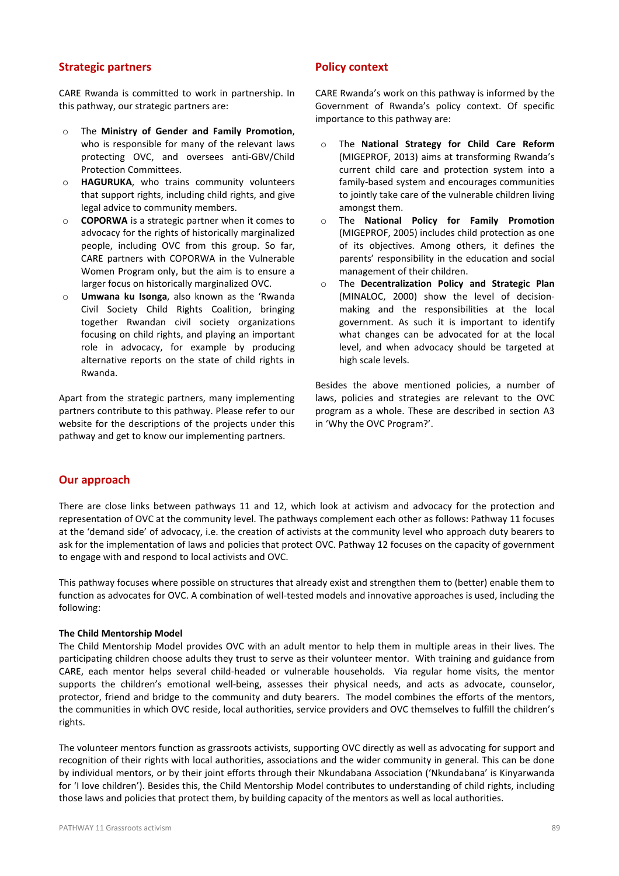# Strategic partners

CARE Rwanda is committed to work in partnership. In this pathway, our strategic partners are:

- o The Ministry of Gender and Family Promotion, who is responsible for many of the relevant laws protecting OVC, and oversees anti-GBV/Child Protection Committees.
- o HAGURUKA, who trains community volunteers that support rights, including child rights, and give legal advice to community members.
- o COPORWA is a strategic partner when it comes to advocacy for the rights of historically marginalized people, including OVC from this group. So far, CARE partners with COPORWA in the Vulnerable Women Program only, but the aim is to ensure a larger focus on historically marginalized OVC.
- o Umwana ku Isonga, also known as the 'Rwanda Civil Society Child Rights Coalition, bringing together Rwandan civil society organizations focusing on child rights, and playing an important role in advocacy, for example by producing alternative reports on the state of child rights in Rwanda.

Apart from the strategic partners, many implementing partners contribute to this pathway. Please refer to our website for the descriptions of the projects under this pathway and get to know our implementing partners.

# Policy context

CARE Rwanda's work on this pathway is informed by the Government of Rwanda's policy context. Of specific importance to this pathway are:

- o The National Strategy for Child Care Reform (MIGEPROF, 2013) aims at transforming Rwanda's current child care and protection system into a family-based system and encourages communities to jointly take care of the vulnerable children living amongst them.
- o The National Policy for Family Promotion (MIGEPROF, 2005) includes child protection as one of its objectives. Among others, it defines the parents' responsibility in the education and social management of their children.
- o The Decentralization Policy and Strategic Plan (MINALOC, 2000) show the level of decisionmaking and the responsibilities at the local government. As such it is important to identify what changes can be advocated for at the local level, and when advocacy should be targeted at high scale levels.

Besides the above mentioned policies, a number of laws, policies and strategies are relevant to the OVC program as a whole. These are described in section A3 in 'Why the OVC Program?'.

## Our approach

There are close links between pathways 11 and 12, which look at activism and advocacy for the protection and representation of OVC at the community level. The pathways complement each other as follows: Pathway 11 focuses at the 'demand side' of advocacy, i.e. the creation of activists at the community level who approach duty bearers to ask for the implementation of laws and policies that protect OVC. Pathway 12 focuses on the capacity of government to engage with and respond to local activists and OVC.

This pathway focuses where possible on structures that already exist and strengthen them to (better) enable them to function as advocates for OVC. A combination of well-tested models and innovative approaches is used, including the following:

#### The Child Mentorship Model

The Child Mentorship Model provides OVC with an adult mentor to help them in multiple areas in their lives. The participating children choose adults they trust to serve as their volunteer mentor. With training and guidance from CARE, each mentor helps several child-headed or vulnerable households. Via regular home visits, the mentor supports the children's emotional well-being, assesses their physical needs, and acts as advocate, counselor, protector, friend and bridge to the community and duty bearers. The model combines the efforts of the mentors, the communities in which OVC reside, local authorities, service providers and OVC themselves to fulfill the children's rights.

The volunteer mentors function as grassroots activists, supporting OVC directly as well as advocating for support and recognition of their rights with local authorities, associations and the wider community in general. This can be done by individual mentors, or by their joint efforts through their Nkundabana Association ('Nkundabana' is Kinyarwanda for 'I love children'). Besides this, the Child Mentorship Model contributes to understanding of child rights, including those laws and policies that protect them, by building capacity of the mentors as well as local authorities.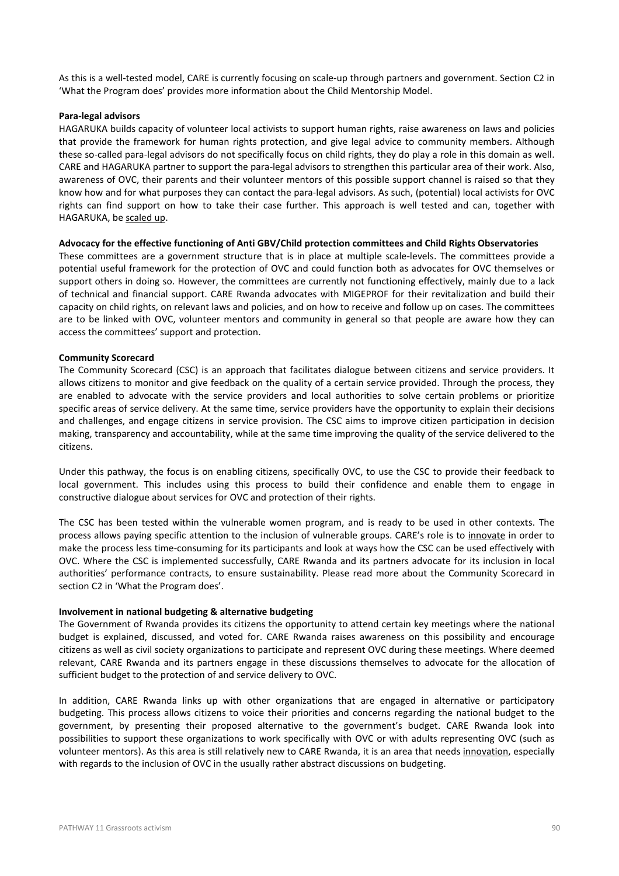As this is a well-tested model, CARE is currently focusing on scale-up through partners and government. Section C2 in 'What the Program does' provides more information about the Child Mentorship Model.

#### Para-legal advisors

HAGARUKA builds capacity of volunteer local activists to support human rights, raise awareness on laws and policies that provide the framework for human rights protection, and give legal advice to community members. Although these so-called para-legal advisors do not specifically focus on child rights, they do play a role in this domain as well. CARE and HAGARUKA partner to support the para-legal advisors to strengthen this particular area of their work. Also, awareness of OVC, their parents and their volunteer mentors of this possible support channel is raised so that they know how and for what purposes they can contact the para-legal advisors. As such, (potential) local activists for OVC rights can find support on how to take their case further. This approach is well tested and can, together with HAGARUKA, be scaled up.

#### Advocacy for the effective functioning of Anti GBV/Child protection committees and Child Rights Observatories

These committees are a government structure that is in place at multiple scale-levels. The committees provide a potential useful framework for the protection of OVC and could function both as advocates for OVC themselves or support others in doing so. However, the committees are currently not functioning effectively, mainly due to a lack of technical and financial support. CARE Rwanda advocates with MIGEPROF for their revitalization and build their capacity on child rights, on relevant laws and policies, and on how to receive and follow up on cases. The committees are to be linked with OVC, volunteer mentors and community in general so that people are aware how they can access the committees' support and protection.

#### Community Scorecard

The Community Scorecard (CSC) is an approach that facilitates dialogue between citizens and service providers. It allows citizens to monitor and give feedback on the quality of a certain service provided. Through the process, they are enabled to advocate with the service providers and local authorities to solve certain problems or prioritize specific areas of service delivery. At the same time, service providers have the opportunity to explain their decisions and challenges, and engage citizens in service provision. The CSC aims to improve citizen participation in decision making, transparency and accountability, while at the same time improving the quality of the service delivered to the citizens.

Under this pathway, the focus is on enabling citizens, specifically OVC, to use the CSC to provide their feedback to local government. This includes using this process to build their confidence and enable them to engage in constructive dialogue about services for OVC and protection of their rights.

The CSC has been tested within the vulnerable women program, and is ready to be used in other contexts. The process allows paying specific attention to the inclusion of vulnerable groups. CARE's role is to innovate in order to make the process less time-consuming for its participants and look at ways how the CSC can be used effectively with OVC. Where the CSC is implemented successfully, CARE Rwanda and its partners advocate for its inclusion in local authorities' performance contracts, to ensure sustainability. Please read more about the Community Scorecard in section C2 in 'What the Program does'.

#### Involvement in national budgeting & alternative budgeting

The Government of Rwanda provides its citizens the opportunity to attend certain key meetings where the national budget is explained, discussed, and voted for. CARE Rwanda raises awareness on this possibility and encourage citizens as well as civil society organizations to participate and represent OVC during these meetings. Where deemed relevant, CARE Rwanda and its partners engage in these discussions themselves to advocate for the allocation of sufficient budget to the protection of and service delivery to OVC.

In addition, CARE Rwanda links up with other organizations that are engaged in alternative or participatory budgeting. This process allows citizens to voice their priorities and concerns regarding the national budget to the government, by presenting their proposed alternative to the government's budget. CARE Rwanda look into possibilities to support these organizations to work specifically with OVC or with adults representing OVC (such as volunteer mentors). As this area is still relatively new to CARE Rwanda, it is an area that needs innovation, especially with regards to the inclusion of OVC in the usually rather abstract discussions on budgeting.